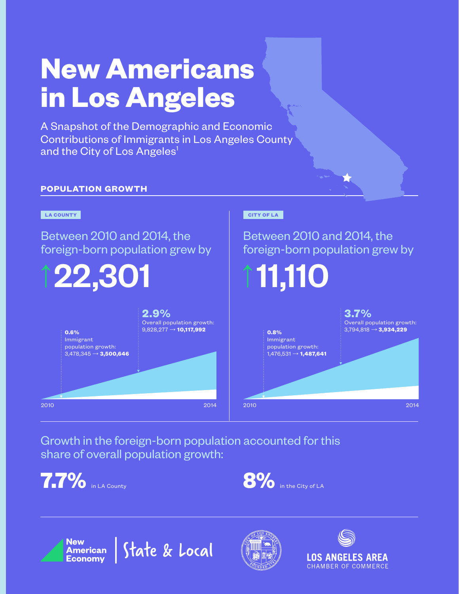# **New Americans in Los Angeles**

A Snapshot of the Demographic and Economic Contributions of Immigrants in Los Angeles County and the City of Los Angeles<sup>1</sup>

## **POPULATION GROWTH**



Growth in the foreign-born population accounted for this share of overall population growth:

**7.7%** in LA County







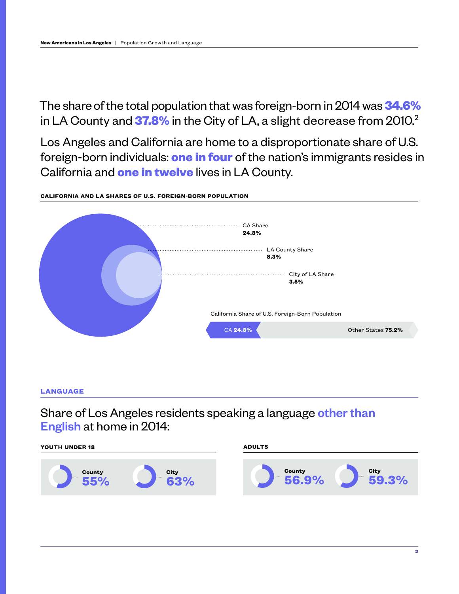The share of the total population that was foreign-born in 2014 was **34.6%** in LA County and **37.8%** in the City of LA, a slight decrease from 2010.<sup>2</sup>

Los Angeles and California are home to a disproportionate share of U.S. foreign-born individuals: **one in four** of the nation's immigrants resides in California and **one in twelve** lives in LA County.

#### **CALIFORNIA AND LA SHARES OF U.S. FOREIGN-BORN POPULATION**



**LANGUAGE**

Share of Los Angeles residents speaking a language other than English at home in 2014:

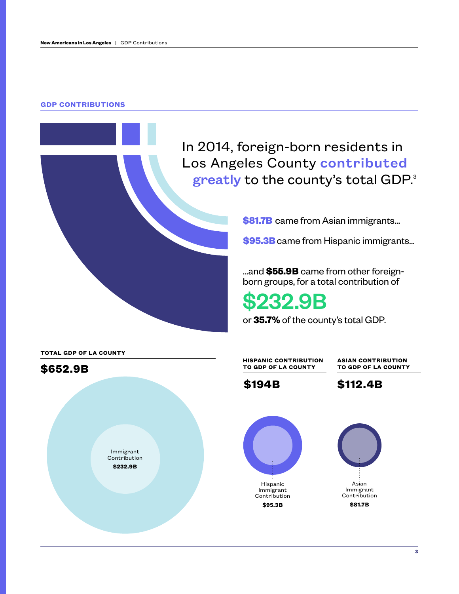#### **GDP CONTRIBUTIONS**



**\$81.7B** came from Asian immigrants...

**\$95.3B**came from Hispanic immigrants...

...and **\$55.9B** came from other foreignborn groups, for a total contribution of

# \$232.9B

or **35.7%** of the county's total GDP.

**TOTAL GDP OF LA COUNTY**



**HISPANIC CONTRIBUTION TO GDP OF LA COUNTY**

**ASIAN CONTRIBUTION TO GDP OF LA COUNTY**





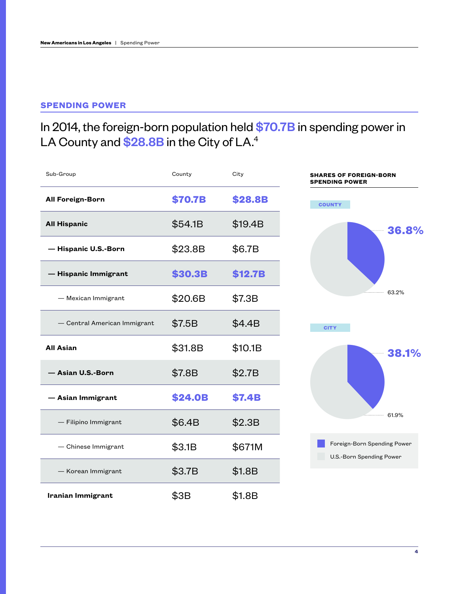## **SPENDING POWER**

# In 2014, the foreign-born population held \$70.7B in spending power in LA County and \$28.8B in the City of LA.<sup>4</sup>

| Sub-Group                    | County         | City          | <b>SHARES OF FOREIGN-BORN</b><br>ENDING POWER           |
|------------------------------|----------------|---------------|---------------------------------------------------------|
| <b>All Foreign-Born</b>      | <b>\$70.7B</b> | \$28.8B       | <b>COUNTY</b>                                           |
| <b>All Hispanic</b>          | \$54.1B        | \$19.4B       | 36.8%                                                   |
| - Hispanic U.S.-Born         | \$23.8B        | \$6.7B        |                                                         |
| - Hispanic Immigrant         | \$30.3B        | \$12.7B       |                                                         |
| - Mexican Immigrant          | \$20.6B        | \$7.3B        | 63.2%                                                   |
| - Central American Immigrant | \$7.5B         | \$4.4B        | <b>CITY</b>                                             |
| <b>All Asian</b>             | \$31.8B        | \$10.1B       | 38.1%                                                   |
| - Asian U.S.-Born            | \$7.8B         | \$2.7B        |                                                         |
| - Asian Immigrant            | \$24.0B        | <b>\$7.4B</b> |                                                         |
| - Filipino Immigrant         | \$6.4B         | \$2.3B        | 61.9%                                                   |
| - Chinese Immigrant          | \$3.1B         | \$671M        | Foreign-Born Spending Power<br>U.S.-Born Spending Power |
| - Korean Immigrant           | \$3.7B         | \$1.8B        |                                                         |
| Iranian Immigrant            | \$3B           | \$1.8B        |                                                         |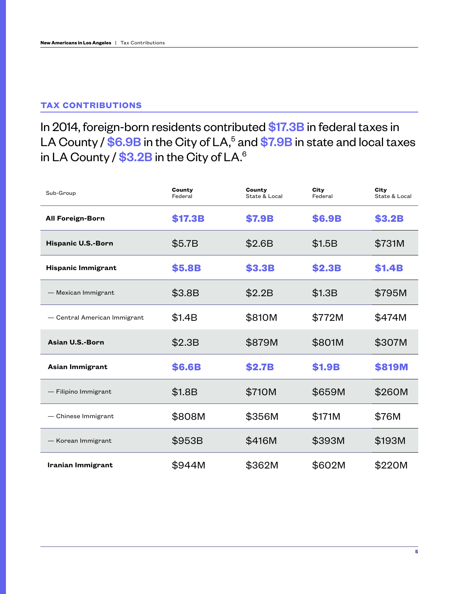## **TAX CONTRIBUTIONS**

## In 2014, foreign-born residents contributed \$17.3B in federal taxes in LA County / \$6.9B in the City of LA,<sup>5</sup> and \$7.9B in state and local taxes in LA County / \$3.2B in the City of LA.<sup>6</sup>

| Sub-Group                    | County<br>Federal | County<br>State & Local | City<br>Federal | City<br>State & Local |
|------------------------------|-------------------|-------------------------|-----------------|-----------------------|
| <b>All Foreign-Born</b>      | \$17.3B           | \$7.9B                  | <b>\$6.9B</b>   | <b>\$3.2B</b>         |
| Hispanic U.S.-Born           | \$5.7B            | \$2.6B                  | \$1.5B          | \$731M                |
| <b>Hispanic Immigrant</b>    | \$5.8B            | \$3.3B                  | <b>\$2.3B</b>   | <b>\$1.4B</b>         |
| - Mexican Immigrant          | \$3.8B            | \$2.2B                  | \$1.3B          | \$795M                |
| - Central American Immigrant | \$1.4B            | \$810M                  | \$772M          | \$474M                |
|                              |                   |                         |                 |                       |
| Asian U.S.-Born              | \$2.3B            | \$879M                  | \$801M          | \$307M                |
| Asian Immigrant              | <b>\$6.6B</b>     | <b>\$2.7B</b>           | <b>\$1.9B</b>   | <b>\$819M</b>         |
| - Filipino Immigrant         | \$1.8B            | \$710M                  | \$659M          | \$260M                |
| - Chinese Immigrant          | \$808M            | \$356M                  | \$171M          | \$76M                 |
| - Korean Immigrant           | \$953B            | \$416M                  | \$393M          | \$193M                |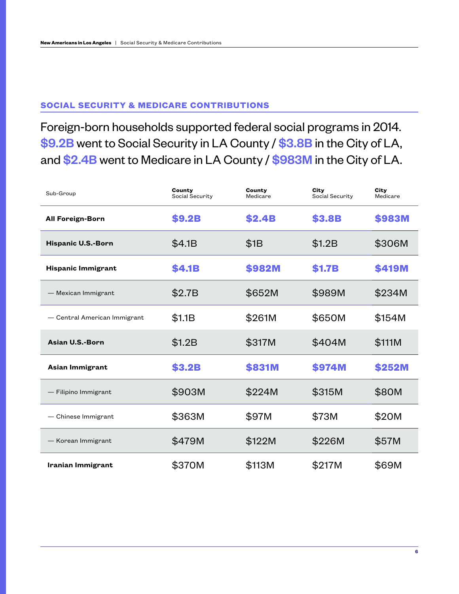### **SOCIAL SECURITY & MEDICARE CONTRIBUTIONS**

Foreign-born households supported federal social programs in 2014. \$9.2B went to Social Security in LA County / \$3.8B in the City of LA, and \$2.4B went to Medicare in LA County / \$983M in the City of LA.

| Sub-Group                    | County<br>Social Security | County<br>Medicare | City<br>Social Security | City<br>Medicare |
|------------------------------|---------------------------|--------------------|-------------------------|------------------|
| <b>All Foreign-Born</b>      | \$9.2B                    | <b>\$2.4B</b>      | \$3.8B                  | \$983M           |
| <b>Hispanic U.S.-Born</b>    | \$4.1B                    | \$1B               | \$1.2B                  | \$306M           |
| Hispanic Immigrant           | <b>\$4.1B</b>             | \$982M             | <b>\$1.7B</b>           | \$419M           |
| - Mexican Immigrant          | \$2.7B                    | \$652M             | \$989M                  | \$234M           |
| - Central American Immigrant | \$1.1B                    | \$261M             | \$650M                  | \$154M           |
| Asian U.S.-Born              | \$1.2B                    | \$317M             | \$404M                  | \$111M           |
| Asian Immigrant              | <b>\$3.2B</b>             | \$831M             | \$974M                  | \$252M           |
| - Filipino Immigrant         | \$903M                    | \$224M             | \$315M                  | \$80M            |
| - Chinese Immigrant          | \$363M                    | \$97M              | \$73M                   | \$20M            |
| - Korean Immigrant           | \$479M                    | \$122M             | \$226M                  | \$57M            |
| Iranian Immigrant            | \$370M                    | \$113M             | \$217M                  | \$69M            |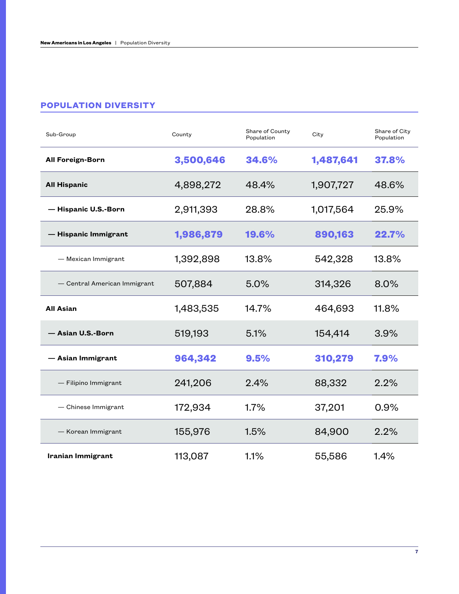### **POPULATION DIVERSITY**

| Sub-Group                    | County    | Share of County<br>Population | City      | Share of City<br>Population |
|------------------------------|-----------|-------------------------------|-----------|-----------------------------|
| <b>All Foreign-Born</b>      | 3,500,646 | 34.6%                         | 1,487,641 | 37.8%                       |
| <b>All Hispanic</b>          | 4,898,272 | 48.4%                         | 1,907,727 | 48.6%                       |
| - Hispanic U.S.-Born         | 2,911,393 | 28.8%                         | 1,017,564 | 25.9%                       |
| - Hispanic Immigrant         | 1,986,879 | 19.6%                         | 890,163   | 22.7%                       |
| - Mexican Immigrant          | 1,392,898 | 13.8%                         | 542,328   | 13.8%                       |
| - Central American Immigrant | 507,884   | 5.0%                          | 314,326   | 8.0%                        |
| <b>All Asian</b>             | 1,483,535 | 14.7%                         | 464,693   | 11.8%                       |
| - Asian U.S.-Born            | 519,193   | 5.1%                          | 154,414   | 3.9%                        |
| - Asian Immigrant            | 964,342   | 9.5%                          | 310,279   | 7.9%                        |
| - Filipino Immigrant         | 241,206   | 2.4%                          | 88,332    | 2.2%                        |
| - Chinese Immigrant          | 172,934   | 1.7%                          | 37,201    | 0.9%                        |
| - Korean Immigrant           | 155,976   | 1.5%                          | 84,900    | 2.2%                        |
| Iranian Immigrant            |           |                               |           |                             |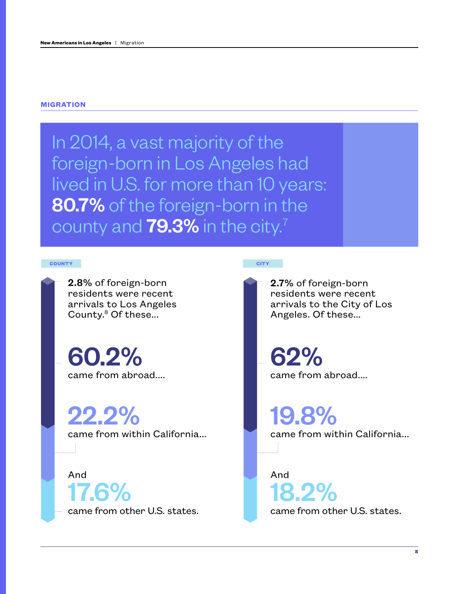#### **MIGRATION**

In 2014, a vast majority of the foreign-born in Los Angeles had lived in U.S. for more than 10 years: 80.7% of the foreign-born in the county and  $79.3\%$  in the city.<sup>7</sup>

#### **COUNTY CITY**

2.8% of foreign-born residents were recent arrivals to Los Angeles County.<sup>8</sup> Of these...

60.2% came from abroad....

22.2%

came from within California...

And 17.6%

came from other U.S. states.

2.7% of foreign-born residents were recent arrivals to the City of Los Angeles. Of these...

62% came from abroad....

19.8% came from within California...

And 18.2%

came from other U.S. states.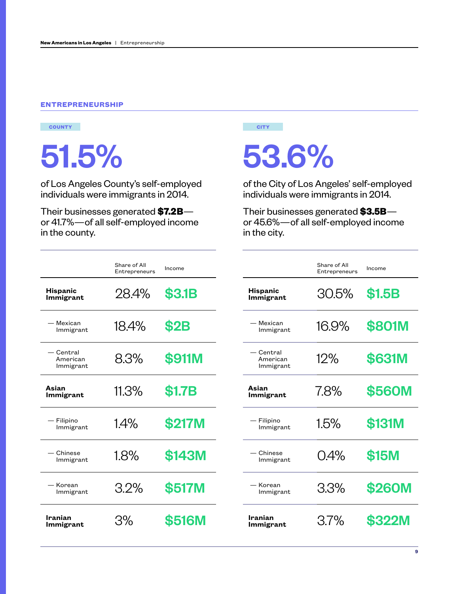#### **ENTREPRENEURSHIP**



of Los Angeles County's self-employed individuals were immigrants in 2014.

 Their businesses generated **\$7.2B** or 41.7%—of all self-employed income in the county.

# 51.5% 53.6%

of the City of Los Angeles' self-employed individuals were immigrants in 2014.

 Their businesses generated **\$3.5B** or 45.6%—of all self-employed income in the city.

|                                     | Share of All<br>Entrepreneurs | Income        |
|-------------------------------------|-------------------------------|---------------|
| <b>Hispanic</b><br><b>Immigrant</b> | 28.4%                         | <b>\$3.1B</b> |
| - Mexican<br>Immigrant              | 18.4%                         | <b>\$2B</b>   |
| — Central<br>American<br>Immigrant  | 83%                           | <b>\$911M</b> |
| Asian<br>Immigrant                  | 11.3%                         | <b>\$1.7B</b> |
| - Filipino<br>Immigrant             | 14%                           | \$217M        |
| - Chinese<br>Immigrant              | 1.8%                          | \$143M        |
| - Korean<br>Immigrant               | 3.2%                          | <b>\$517M</b> |
| Iranian<br><b>Immigrant</b>         | 3%                            | <b>\$516M</b> |

|                                    | Share of All<br>Entrepreneurs | Income        |
|------------------------------------|-------------------------------|---------------|
| <b>Hispanic</b><br>Immigrant       | 30.5%                         | <b>\$1.5B</b> |
| — Mexican<br>Immigrant             | 169%                          | \$801M        |
| — Central<br>American<br>Immigrant | 12%                           | <b>\$631M</b> |
| Asian<br>Immigrant                 | 78%                           | \$560M        |
| — Filipino<br>Immigrant            | 15%                           | <b>\$131M</b> |
| – Chinese<br>Immigrant             | 0.4%                          | \$15M         |
| - Korean<br>Immigrant              | 3.3%                          | \$260M        |
| Iranian<br>Immigrant               | 37%                           | <b>\$322M</b> |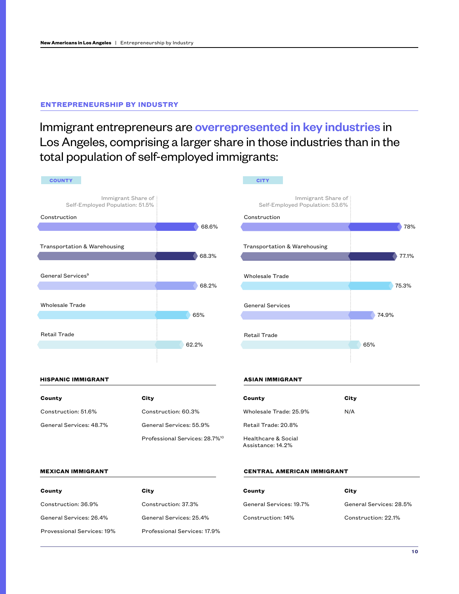#### **ENTREPRENEURSHIP BY INDUSTRY**

Immigrant entrepreneurs are overrepresented in key industries in Los Angeles, comprising a larger share in those industries than in the total population of self-employed immigrants:



| County                  | City                                       |
|-------------------------|--------------------------------------------|
| Construction: 51.6%     | Construction: 60.3%                        |
| General Services: 48.7% | General Services: 55.9%                    |
|                         | Professional Services: 28.7% <sup>10</sup> |

| County                                   | City |
|------------------------------------------|------|
| Wholesale Trade: 25.9%                   | N/A  |
| Retail Trade: 20.8%                      |      |
| Healthcare & Social<br>Assistance: 14.2% |      |

#### **MEXICAN IMMIGRANT**

| County                     | City                         |
|----------------------------|------------------------------|
| Construction: 36.9%        | Construction: 37.3%          |
| General Services: 26.4%    | General Services: 25.4%      |
| Provessional Services: 19% | Professional Services: 17.9% |

#### **CENTRAL AMERICAN IMMIGRANT**

| County                  | City                    |
|-------------------------|-------------------------|
| General Services: 19.7% | General Services: 28.5% |
| Construction: 14%       | Construction: 22.1%     |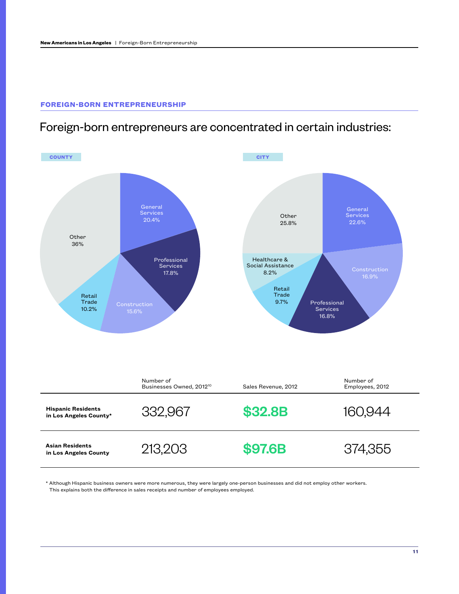#### **FOREIGN-BORN ENTREPRENEURSHIP**

## Foreign-born entrepreneurs are concentrated in certain industries:



\* Although Hispanic business owners were more numerous, they were largely one-person businesses and did not employ other workers. This explains both the difference in sales receipts and number of employees employed.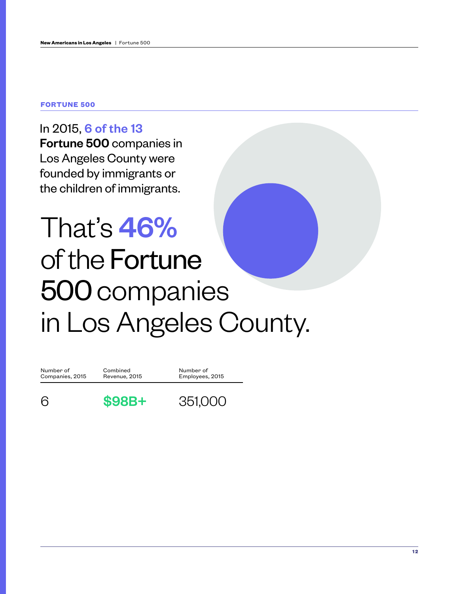#### **FORTUNE 500**

In 2015, 6 of the 13 Fortune 500 companies in Los Angeles County were founded by immigrants or the children of immigrants.

# That's 46% of the Fortune 500 companies in Los Angeles County.

| Number of       | Combined      | Number of       |
|-----------------|---------------|-----------------|
| Companies, 2015 | Revenue, 2015 | Employees, 2015 |
|                 | $$98B+$       | 351,000         |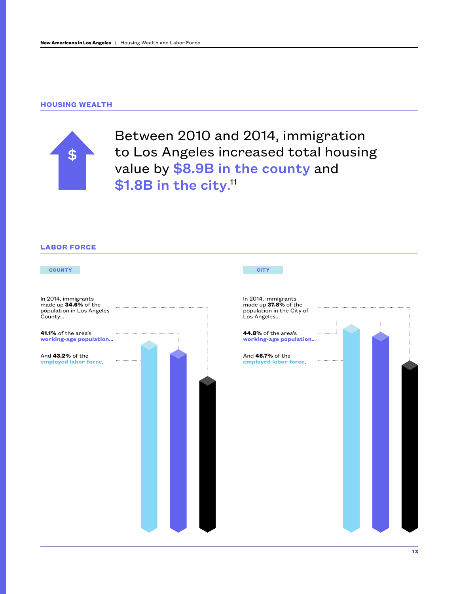#### **HOUSING WEALTH**



Between 2010 and 2014, immigration to Los Angeles increased total housing value by \$8.9B in the county and \$1.8B in the city.<sup>11</sup>

#### **LABOR FORCE**

| <b>COUNTY</b>                                                                      | <b>CITY</b>                                                                             |
|------------------------------------------------------------------------------------|-----------------------------------------------------------------------------------------|
| In 2014, immigrants<br>made up 34.6% of the<br>population in Los Angeles<br>County | In 2014, immigrants<br>made up 37.8% of the<br>population in the City of<br>Los Angeles |
| 41.1% of the area's<br>working-age population                                      | 44.8% of the area's<br>working-age population                                           |
| And 43.2% of the<br>employed labor force.                                          | And 46.7% of the<br>employed labor force.                                               |
|                                                                                    |                                                                                         |
|                                                                                    |                                                                                         |
|                                                                                    |                                                                                         |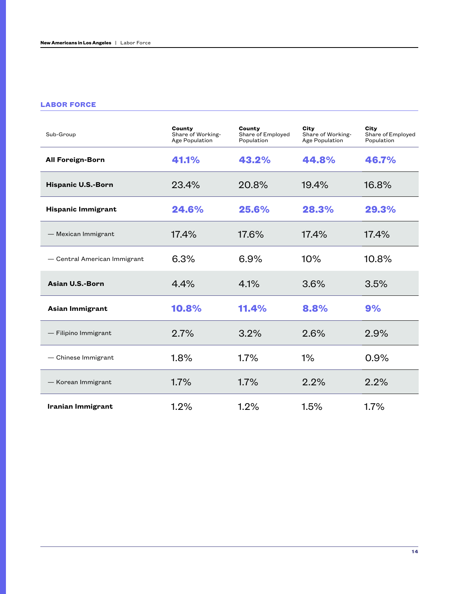#### **LABOR FORCE**

| Sub-Group                    | County<br>Share of Working-<br>Age Population | County<br>Share of Employed<br>Population | City<br>Share of Working-<br>Age Population | City<br>Share of Employed<br>Population |
|------------------------------|-----------------------------------------------|-------------------------------------------|---------------------------------------------|-----------------------------------------|
| <b>All Foreign-Born</b>      | 41.1%                                         | 43.2%                                     | 44.8%                                       | 46.7%                                   |
| <b>Hispanic U.S.-Born</b>    | 23.4%                                         | 20.8%                                     | 19.4%                                       | 16.8%                                   |
| <b>Hispanic Immigrant</b>    | 24.6%                                         | 25.6%                                     | 28.3%                                       | 29.3%                                   |
| - Mexican Immigrant          | 17.4%                                         | 17.6%                                     | 17.4%                                       | 17.4%                                   |
| - Central American Immigrant | 6.3%                                          | 6.9%                                      | 10%                                         | 10.8%                                   |
| Asian U.S.-Born              | 4.4%                                          | 4.1%                                      | 3.6%                                        | 3.5%                                    |
| Asian Immigrant              | 10.8%                                         | 11.4%                                     | 8.8%                                        | 9%                                      |
| - Filipino Immigrant         | 2.7%                                          | 3.2%                                      | 2.6%                                        | 2.9%                                    |
| - Chinese Immigrant          | 1.8%                                          | 1.7%                                      | 1%                                          | 0.9%                                    |
| - Korean Immigrant           | 1.7%                                          | 1.7%                                      | 2.2%                                        | 2.2%                                    |
| <b>Iranian Immigrant</b>     | 1.2%                                          | 1.2%                                      | 1.5%                                        | 1.7%                                    |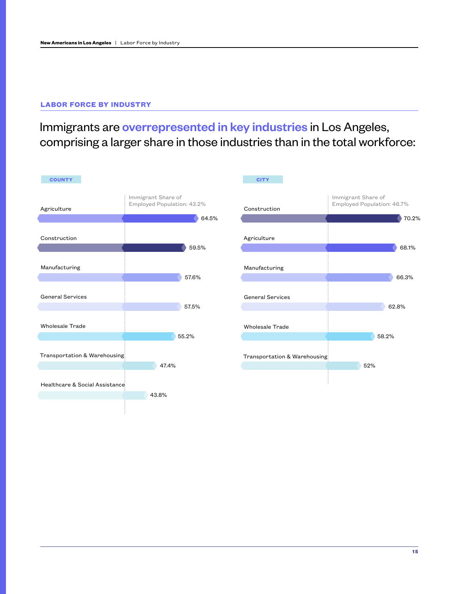### **LABOR FORCE BY INDUSTRY**

# Immigrants are overrepresented in key industries in Los Angeles, comprising a larger share in those industries than in the total workforce:

| <b>COUNTY</b>                  |                                                  |       | <b>CITY</b>                  |                                                  |       |
|--------------------------------|--------------------------------------------------|-------|------------------------------|--------------------------------------------------|-------|
| Agriculture                    | Immigrant Share of<br>Employed Population: 43.2% | 64.5% | Construction                 | Immigrant Share of<br>Employed Population: 46.7% | 70.2% |
| Construction                   |                                                  | 59.5% | Agriculture                  |                                                  | 68.1% |
| Manufacturing                  |                                                  | 57.6% | Manufacturing                |                                                  | 66.3% |
| <b>General Services</b>        |                                                  | 57.5% | <b>General Services</b>      |                                                  | 62.8% |
| <b>Wholesale Trade</b>         |                                                  |       | <b>Wholesale Trade</b>       |                                                  |       |
| Transportation & Warehousing   | 55.2%                                            |       | Transportation & Warehousing |                                                  | 58.2% |
| Healthcare & Social Assistance | 47.4%                                            |       |                              | 52%                                              |       |
|                                | 43.8%                                            |       |                              |                                                  |       |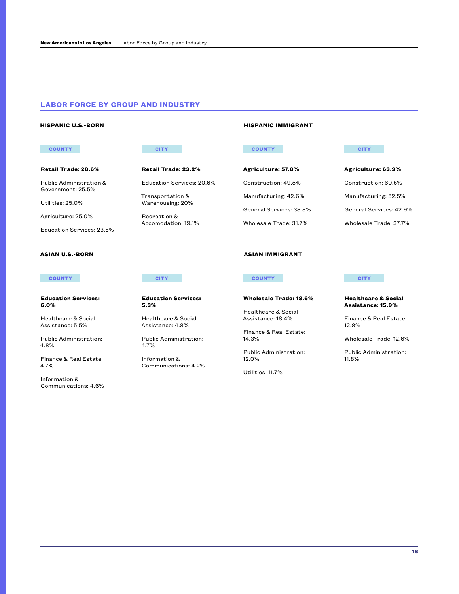#### **LABOR FORCE BY GROUP AND INDUSTRY**

Transportation & Warehousing: 20%

Recreation & Accomodation: 19.1%

**Retail Trade: 23.2%**

Education Services: 20.6%

**Retail Trade: 28.6%**

Public Administration & Government: 25.5%

Utilities: 25.0%

Agriculture: 25.0%

Education Services: 23.5%

#### **ASIAN U.S.-BORN ASIAN IMMIGRANT**

#### **Education Services: 6.0%**

Healthcare & Social Assistance: 5.5%

Public Administration: 4.8%

Finance & Real Estate: 4.7%

Information & Communications: 4.6%

**Education Services: 5.3%**

Healthcare & Social Assistance: 4.8%

Public Administration: 4.7%

Information & Communications: 4.2%

#### **HISPANIC U.S.-BORN HISPANIC IMMIGRANT**

#### **COUNTY CITY COUNTY CITY**

**Agriculture: 57.8%** Construction: 49.5% Manufacturing: 42.6% General Services: 38.8% Wholesale Trade: 31.7%

**Agriculture: 63.9%**

Construction: 60.5% Manufacturing: 52.5% General Services: 42.9% Wholesale Trade: 37.7%

#### **COUNTY CITY COUNTY CITY**

**Wholesale Trade: 18.6%**

Healthcare & Social

Finance & Real Estate: 14.3%

Assistance: 18.4%

Public Administration: 12.0%

Utilities: 11.7%

#### **Healthcare & Social Assistance: 15.9%**

Finance & Real Estate: 12.8%

Wholesale Trade: 12.6%

Public Administration: 11.8%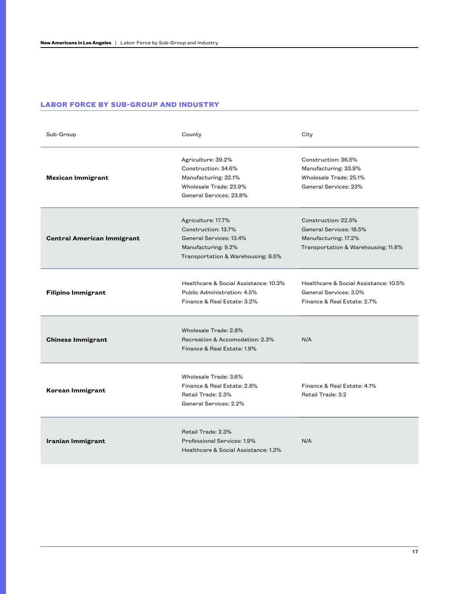#### **LABOR FORCE BY SUB-GROUP AND INDUSTRY**

| Sub-Group                         | County                                                                                                                            | City                                                                                                          |
|-----------------------------------|-----------------------------------------------------------------------------------------------------------------------------------|---------------------------------------------------------------------------------------------------------------|
| <b>Mexican Immigrant</b>          | Agriculture: 39.2%<br>Construction: 34.6%<br>Manufacturing: 32.1%<br>Wholesale Trade: 23.9%<br>General Services: 23.8%            | Construction: 36.5%<br>Manufacturing: 33.9%<br>Wholesale Trade: 25.1%<br>General Services: 23%                |
| <b>Central American Immigrant</b> | Agriculture: 17.7%<br>Construction: 13.7%<br>General Services: 13.4%<br>Manufacturing: 9.2%<br>Transportation & Warehousing: 8.5% | Construction: 22.5%<br>General Services: 18.5%<br>Manufacturing: 17.2%<br>Transportation & Warehousing: 11.8% |
| <b>Filipino Immigrant</b>         | Healthcare & Social Assistance: 10.3%<br>Public Administration: 4.5%<br>Finance & Real Estate: 3.2%                               | Healthcare & Social Assistance: 10.5%<br>General Services: 3.0%<br>Finance & Real Estate: 2.7%                |
| <b>Chinese Immigrant</b>          | Wholesale Trade: 2.8%<br>Recreation & Accomodation: 2.3%<br>Finance & Real Estate: 1.9%                                           | N/A                                                                                                           |
| Korean Immigrant                  | Wholesale Trade: 3.6%<br>Finance & Real Estate: 2.8%<br>Retail Trade: 2.3%<br>General Services: 2.2%                              | Finance & Real Estate: 4.1%<br>Retail Trade: 3.2                                                              |
| Iranian Immigrant                 | Retail Trade: 2.3%<br>Professional Services: 1.9%<br>Healthcare & Social Assistance: 1.3%                                         | N/A                                                                                                           |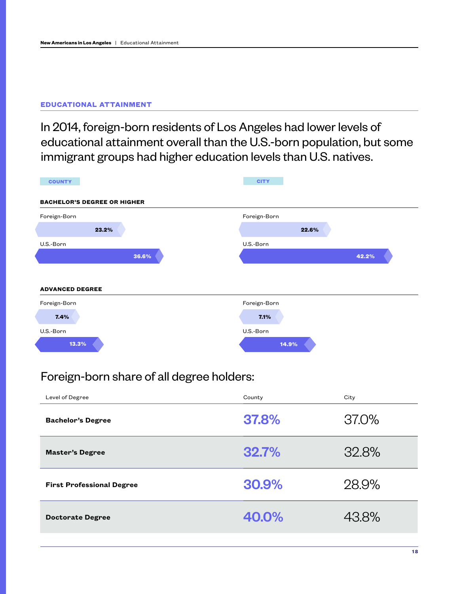#### **EDUCATIONAL ATTAINMENT**

In 2014, foreign-born residents of Los Angeles had lower levels of educational attainment overall than the U.S.-born population, but some immigrant groups had higher education levels than U.S. natives.

| <b>COUNTY</b><br><b>BACHELOR'S DEGREE OR HIGHER</b> |       | <b>CITY</b>  |       |
|-----------------------------------------------------|-------|--------------|-------|
| Foreign-Born                                        |       | Foreign-Born |       |
| 23.2%                                               |       | 22.6%        |       |
| U.S.-Born                                           |       | U.S.-Born    |       |
|                                                     |       |              |       |
|                                                     | 36.6% |              | 42.2% |
|                                                     |       |              |       |
|                                                     |       | Foreign-Born |       |
| <b>ADVANCED DEGREE</b><br>Foreign-Born<br>7.4%      |       | 7.1%         |       |
| U.S.-Born                                           |       | U.S.-Born    |       |

## Foreign-born share of all degree holders:

| Level of Degree                  | County | City  |
|----------------------------------|--------|-------|
| <b>Bachelor's Degree</b>         | 37,8%  | 37.0% |
| <b>Master's Degree</b>           | 32.7%  | 32.8% |
| <b>First Professional Degree</b> | 30.9%  | 28.9% |
| <b>Doctorate Degree</b>          | 40.0%  | 43.8% |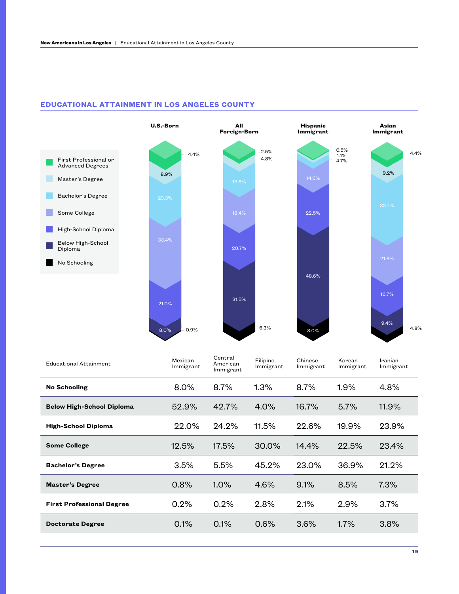

#### **EDUCATIONAL ATTAINMENT IN LOS ANGELES COUNTY**

| <b>Educational Attainment</b>    | Mexican<br>Immigrant | Central<br>American<br>Immigrant | Filipino<br>Immigrant | Chinese<br>Immigrant | Korean<br>Immigrant | Iranian<br>Immigrant |
|----------------------------------|----------------------|----------------------------------|-----------------------|----------------------|---------------------|----------------------|
| <b>No Schooling</b>              | $8.0\%$              | 8.7%                             | 1.3%                  | 8.7%                 | 1.9%                | 4.8%                 |
| <b>Below High-School Diploma</b> | 52.9%                | 42.7%                            | 4.0%                  | 16.7%                | $5.7\%$             | 11.9%                |
| <b>High-School Diploma</b>       | 22.0%                | 24.2%                            | 11.5%                 | 22.6%                | 19.9%               | 23.9%                |
| <b>Some College</b>              | 12.5%                | 17.5%                            | 30.0%                 | 14.4%                | 22.5%               | 23.4%                |
| <b>Bachelor's Degree</b>         | 3.5%                 | 5.5%                             | 45.2%                 | 23.0%                | 36.9%               | 21.2%                |
| <b>Master's Degree</b>           | 0.8%                 | $1.0\%$                          | 4.6%                  | 9.1%                 | 8.5%                | 7.3%                 |
| <b>First Professional Degree</b> | 0.2%                 | 0.2%                             | 2.8%                  | 2.1%                 | 2.9%                | 3.7%                 |
| <b>Doctorate Degree</b>          | 0.1%                 | 0.1%                             | 0.6%                  | 3.6%                 | $1.7\%$             | 3.8%                 |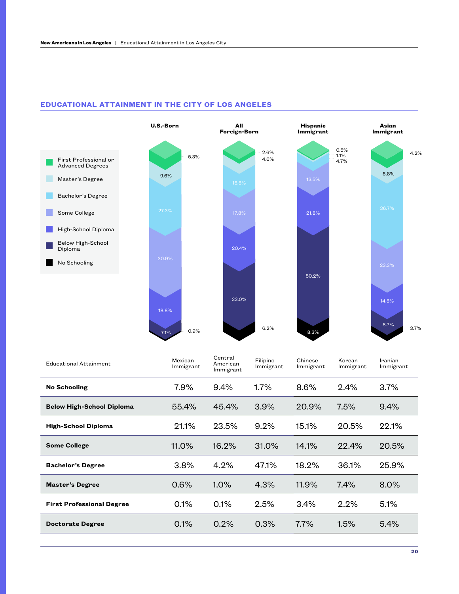

#### **EDUCATIONAL ATTAINMENT IN THE CITY OF LOS ANGELES**

| <b>Educational Attainment</b>    | Mexican<br>Immigrant | Central<br>American<br>Immigrant | Filipino<br>Immigrant | Chinese<br>Immigrant | Korean<br>Immigrant | Iranian<br>Immigrant |
|----------------------------------|----------------------|----------------------------------|-----------------------|----------------------|---------------------|----------------------|
| <b>No Schooling</b>              | 7.9%                 | 9.4%                             | $1.7\%$               | 8.6%                 | 2.4%                | 3.7%                 |
| <b>Below High-School Diploma</b> | 55.4%                | 45.4%                            | 3.9%                  | 20.9%                | $7.5\%$             | 9.4%                 |
| <b>High-School Diploma</b>       | 21.1%                | 23.5%                            | 9.2%                  | 15.1%                | 20.5%               | 22.1%                |
| <b>Some College</b>              | 11.0%                | 16.2%                            | 31.0%                 | 14.1%                | 22.4%               | 20.5%                |
| <b>Bachelor's Degree</b>         | 3.8%                 | 4.2%                             | 47.1%                 | 18.2%                | 36.1%               | 25.9%                |
| <b>Master's Degree</b>           | 0.6%                 | $1.0\%$                          | 4.3%                  | 11.9%                | 7.4%                | 8.0%                 |
| <b>First Professional Degree</b> | 0.1%                 | 0.1%                             | 2.5%                  | 3.4%                 | 2.2%                | 5.1%                 |
| <b>Doctorate Degree</b>          | 0.1%                 | 0.2%                             | 0.3%                  | $7.7\%$              | 1.5%                | 5.4%                 |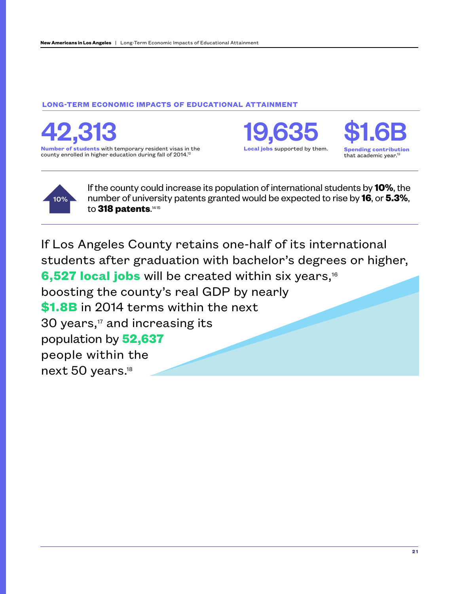### **LONG-TERM ECONOMIC IMPACTS OF EDUCATIONAL ATTAINMENT**

**Number of students** with temporary resident visas in the county enrolled in higher education during fall of 2014.<sup>12</sup> 42,313 19,635 \$1.6B

**Local jobs** supported by them.





If the county could increase its population of international students by **10%**, the number of university patents granted would be expected to rise by **16**, or **5.3%**, to 318 patents.<sup>1415</sup>

If Los Angeles County retains one-half of its international students after graduation with bachelor's degrees or higher, 6,527 local jobs will be created within six years,<sup>16</sup> boosting the county's real GDP by nearly **\$1.8B** in 2014 terms within the next 30 years, $<sup>17</sup>$  and increasing its</sup> population by **52,637** people within the next 50 years.18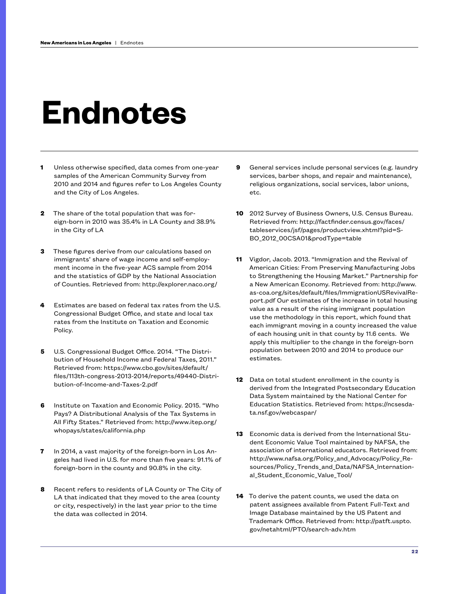# **Endnotes**

- **1** Unless otherwise specified, data comes from one-year samples of the American Community Survey from 2010 and 2014 and figures refer to Los Angeles County and the City of Los Angeles.
- **2** The share of the total population that was foreign-born in 2010 was 35.4% in LA County and 38.9% in the City of LA
- **3** These figures derive from our calculations based on immigrants' share of wage income and self-employment income in the five-year ACS sample from 2014 and the statistics of GDP by the National Association of Counties. Retrieved from: http://explorer.naco.org/
- **4** Estimates are based on federal tax rates from the U.S. Congressional Budget Office, and state and local tax rates from the Institute on Taxation and Economic Policy.
- **5** U.S. Congressional Budget Office. 2014. "The Distribution of Household Income and Federal Taxes, 2011." Retrieved from: https://www.cbo.gov/sites/default/ files/113th-congress-2013-2014/reports/49440-Distribution-of-Income-and-Taxes-2.pdf
- **6** Institute on Taxation and Economic Policy. 2015. "Who Pays? A Distributional Analysis of the Tax Systems in All Fifty States." Retrieved from: http://www.itep.org/ whopays/states/california.php
- **7** In 2014, a vast majority of the foreign-born in Los Angeles had lived in U.S. for more than five years: 91.1% of foreign-born in the county and 90.8% in the city.
- **8** Recent refers to residents of LA County or The City of LA that indicated that they moved to the area (county or city, respectively) in the last year prior to the time the data was collected in 2014.
- **9** General services include personal services (e.g. laundry services, barber shops, and repair and maintenance), religious organizations, social services, labor unions, etc.
- **10** 2012 Survey of Business Owners, U.S. Census Bureau. Retrieved from: http://factfinder.census.gov/faces/ tableservices/jsf/pages/productview.xhtml?pid=S-BO\_2012\_00CSA01&prodType=table
- **11** Vigdor, Jacob. 2013. "Immigration and the Revival of American Cities: From Preserving Manufacturing Jobs to Strengthening the Housing Market." Partnership for a New American Economy. Retrieved from: http://www. as-coa.org/sites/default/files/ImmigrationUSRevivalReport.pdf Our estimates of the increase in total housing value as a result of the rising immigrant population use the methodology in this report, which found that each immigrant moving in a county increased the value of each housing unit in that county by 11.6 cents. We apply this multiplier to the change in the foreign-born population between 2010 and 2014 to produce our estimates.
- **12** Data on total student enrollment in the county is derived from the Integrated Postsecondary Education Data System maintained by the National Center for Education Statistics. Retrieved from: https://ncsesdata.nsf.gov/webcaspar/
- **13** Economic data is derived from the International Student Economic Value Tool maintained by NAFSA, the association of international educators. Retrieved from: http://www.nafsa.org/Policy\_and\_Advocacy/Policy\_Resources/Policy\_Trends\_and\_Data/NAFSA\_International\_Student\_Economic\_Value\_Tool/
- **14** To derive the patent counts, we used the data on patent assignees available from Patent Full-Text and Image Database maintained by the US Patent and Trademark Office. Retrieved from: http://patft.uspto. gov/netahtml/PTO/search-adv.htm